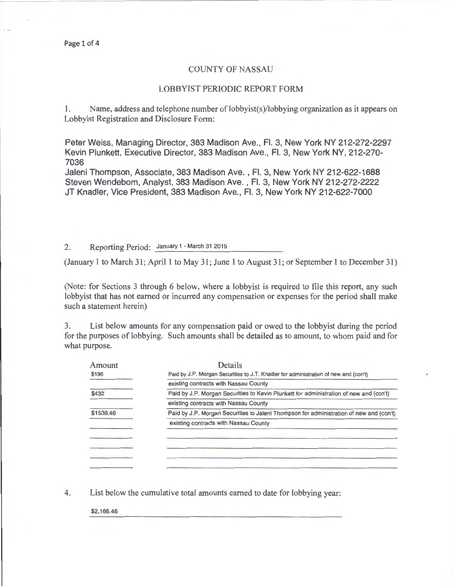## COUNTY OF NASSAU

## LOBBYIST PERIODIC REPORT FORM

1. Name, address and telephone number of lobbyist(s )/lobbying organization as it appears on Lobbyist Registration and Disclosure Form:

Peter Weiss, Managing Director, 383 Madison Ave., Fl. 3, New York NY 212-272-2297 Kevin Plunkett, Executive Director, 383 Madison Ave., Fl. 3, New York NY, 212-270- 7036

Jaleni Thompson, Associate, 383 Madison Ave., Fl. 3, New York NY 212-622-1688 Steven Wendeborn, Analyst, 383 Madison Ave. , Fl. 3, New York NY 212-272-2222 JT Knadler, Vice President, 383 Madison Ave., Fl. 3, New York NY 212-622-7000

2. Reporting Period: January 1 - March 31 2019

(January 1 to March 31; April 1 to May 31; June 1 to August 31; or September 1 to December 31)

(Note: for Sections 3 through 6 below, where a lobbyist is required to file this report, any such lobbyist that has not earned or incurred any compensation or expenses for the period shall make such a statement herein)

3. List below amounts for any compensation paid or owed to the lobbyist during the period for the purposes of lobbying. Such amounts shall be detailed as to amount, to whom paid and for what purpose.

| Amount    | Details                                                                                 |  |  |
|-----------|-----------------------------------------------------------------------------------------|--|--|
| \$196     | Paid by J.P. Morgan Securities to J.T. Knadler for administration of new and (con't)    |  |  |
|           | existing contracts with Nassau County                                                   |  |  |
| \$432     | Paid by J.P. Morgan Securities to Kevin Plunkett for administration of new and (con't)  |  |  |
|           | existing contracts with Nassau County                                                   |  |  |
| \$1538.46 | Paid by J.P. Morgan Securities to Jaleni Thompson for administration of new and (con't) |  |  |
|           | existing contracts with Nassau County                                                   |  |  |
|           |                                                                                         |  |  |
|           |                                                                                         |  |  |
|           |                                                                                         |  |  |
|           |                                                                                         |  |  |
|           |                                                                                         |  |  |

4. List below the cumulative total amounts earned to date for lobbying year:

\$2,166.46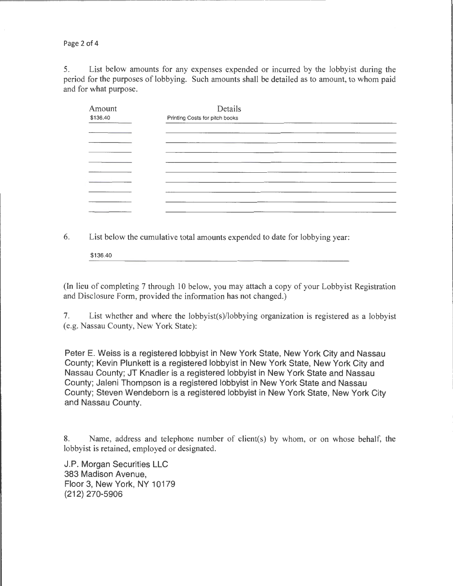Page 2 of 4

5. List below amounts for any expenses expended or incurred by the lobbyist during the period for the purposes of lobbying. Such amounts shall be detailed as to amount, to whom paid and for what purpose.

--------------------------- --------------~---- -- ---

| Amount<br>\$136.40 | Details<br>Printing Costs for pitch books                                                                              |  |
|--------------------|------------------------------------------------------------------------------------------------------------------------|--|
|                    |                                                                                                                        |  |
|                    |                                                                                                                        |  |
|                    |                                                                                                                        |  |
|                    | <u> 1980 - Andrea San Andrea Andrea Andrea Andrea Andrea Andrea Andrea Andrea Andrea Andrea Andrea Andrea Andrea A</u> |  |
|                    |                                                                                                                        |  |
|                    |                                                                                                                        |  |
|                    |                                                                                                                        |  |
|                    |                                                                                                                        |  |

6. List below the cumulative total amounts expended to date for lobbying year:

\$136.40

(In lieu of completing 7 through 10 below, you may attach a copy of your Lobbyist Registration and Disclosure Form, provided the information has not changed.)

7. List whether and where the lobbyist(s)/lobbying organization is registered as a lobbyist (e.g. Nassau County, New York State):

Peter E. Weiss is a registered lobbyist in New York State, New York City and Nassau County; Kevin Plunkett is a registered lobbyist in New York State, New York City and Nassau County; JT Knadler is a registered lobbyist in New York State and Nassau County; Jaleni Thompson is a registered lobbyist in New York State and Nassau County; Steven Wendeborn is a registered lobbyist in New York State, New York City and Nassau County.

8. Name, address and telephone number of client(s) by whom, or on whose behalf, the lobbyist is retained, employed or designated.

J.P. Morgan Securities LLC 383 Madison Avenue, Floor 3, New York, NY 10179 (212) 270-5906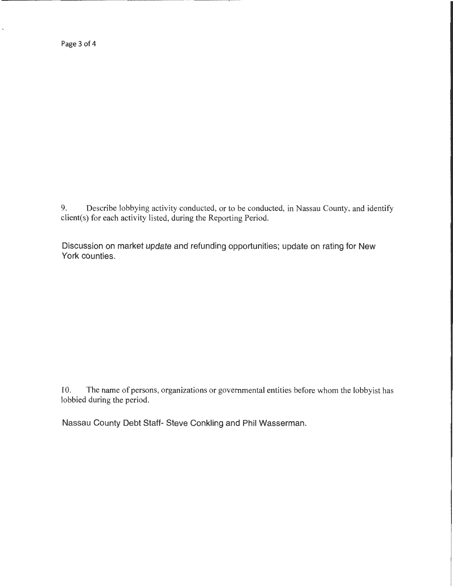Page 3 of 4

 $\hat{\mathbf{v}}$ 

9. Describe lobbying activity conducted, or to be conducted, in Nassau County, and identify client(s) for each activity listed, during the Reporting Period.

Discussion on market update and refunding opportunities; update on rating for New York counties.

10. The name of persons, organizations or governmental entities before whom the lobbyist has lobbied during the period.

Nassau County Debt Staff- Steve Conkling and Phil Wasserman.